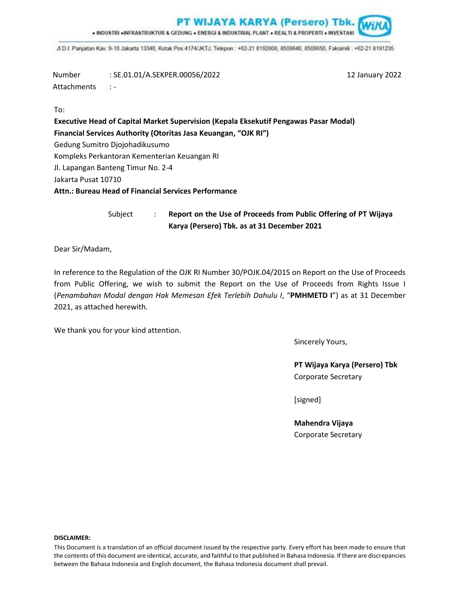**PT WIJAYA KARYA (Persero) Tbk.** 

. INDUSTRI «INFRASTRUKTUR & GEDUNG « ENERGI & INDUSTRIAL PLANT » REALTI & PROPERTI « INVESTASI

JI D.I. Panjaitan Kav. 9-10 Jakarta 13340, Kotak Pos 4174/JKTJ, Telepon: +62-21 8192808, 8508640, 8508650, Faksimili: +62-21 8191235

Number : SE.01.01/A.SEKPER.00056/2022 12 January 2022 Attachments : -

To:

**Executive Head of Capital Market Supervision (Kepala Eksekutif Pengawas Pasar Modal) Financial Services Authority (Otoritas Jasa Keuangan, "OJK RI")** Gedung Sumitro Djojohadikusumo Kompleks Perkantoran Kementerian Keuangan RI Jl. Lapangan Banteng Timur No. 2-4 Jakarta Pusat 10710 **Attn.: Bureau Head of Financial Services Performance**

> Subject : **Report on the Use of Proceeds from Public Offering of PT Wijaya Karya (Persero) Tbk. as at 31 December 2021**

Dear Sir/Madam,

In reference to the Regulation of the OJK RI Number 30/POJK.04/2015 on Report on the Use of Proceeds from Public Offering, we wish to submit the Report on the Use of Proceeds from Rights Issue I (*Penambahan Modal dengan Hak Memesan Efek Terlebih Dahulu I*, "**PMHMETD I**") as at 31 December 2021, as attached herewith.

We thank you for your kind attention.

Sincerely Yours,

**PT Wijaya Karya (Persero) Tbk** Corporate Secretary

[signed]

**Mahendra Vijaya** Corporate Secretary

#### **DISCLAIMER:**

This Document is a translation of an official document issued by the respective party. Every effort has been made to ensure that the contents of this document are identical, accurate, and faithful to that published in Bahasa Indonesia. If there are discrepancies between the Bahasa Indonesia and English document, the Bahasa Indonesia document shall prevail.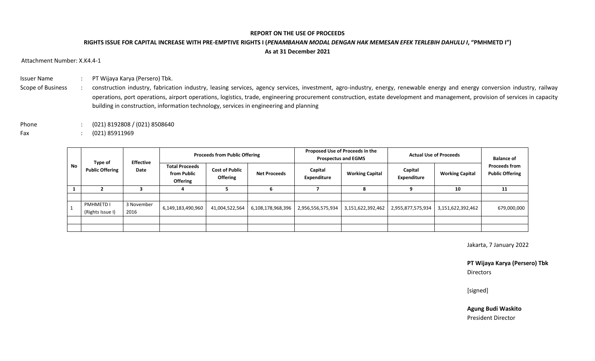### **REPORT ON THE USE OF PROCEEDS**

# **RIGHTS ISSUE FOR CAPITAL INCREASE WITH PRE-EMPTIVE RIGHTS I (***PENAMBAHAN MODAL DENGAN HAK MEMESAN EFEK TERLEBIH DAHULU I***, "PMHMETD I") As at 31 December 2021**

Attachment Number: X.K4.4-1

- Issuer Name : PT Wijaya Karya (Persero) Tbk.
- Scope of Business : construction industry, fabrication industry, leasing services, agency services, investment, agro-industry, energy, renewable energy and energy conversion industry, railway operations, port operations, airport operations, logistics, trade, engineering procurement construction, estate development and management, provision of services in capacity building in construction, information technology, services in engineering and planning
- Phone : (021) 8192808 / (021) 8508640
- Fax : (021) 85911969

| No | Type of<br><b>Public Offering</b>    | <b>Effective</b><br>Date | <b>Proceeds from Public Offering</b>                    |                                          |                     | Proposed Use of Proceeds in the<br><b>Prospectus and EGMS</b> |                        | <b>Actual Use of Proceeds</b> |                        | <b>Balance of</b>                              |
|----|--------------------------------------|--------------------------|---------------------------------------------------------|------------------------------------------|---------------------|---------------------------------------------------------------|------------------------|-------------------------------|------------------------|------------------------------------------------|
|    |                                      |                          | <b>Total Proceeds</b><br>from Public<br><b>Offering</b> | <b>Cost of Public</b><br><b>Offering</b> | <b>Net Proceeds</b> | Capital<br>Expenditure                                        | <b>Working Capital</b> | Capital<br><b>Expenditure</b> | <b>Working Capital</b> | <b>Proceeds from</b><br><b>Public Offering</b> |
|    |                                      |                          |                                                         |                                          |                     |                                                               | 8                      |                               | 10                     | 11                                             |
|    |                                      |                          |                                                         |                                          |                     |                                                               |                        |                               |                        |                                                |
|    | <b>PMHMETD I</b><br>(Rights Issue I) | 3 November<br>2016       | 6,149,183,490,960                                       | 41,004,522,564                           | 6,108,178,968,396   | 2,956,556,575,934                                             | 3,151,622,392,462      | 2,955,877,575,934             | 3,151,622,392,462      | 679,000,000                                    |
|    |                                      |                          |                                                         |                                          |                     |                                                               |                        |                               |                        |                                                |
|    |                                      |                          |                                                         |                                          |                     |                                                               |                        |                               |                        |                                                |

Jakarta, 7 January 2022

**PT Wijaya Karya (Persero) Tbk** Directors

[signed]

**Agung Budi Waskito** President Director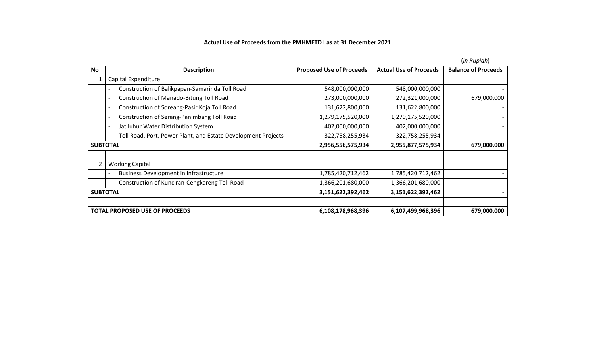## **Actual Use of Proceeds from the PMHMETD I as at 31 December 2021**

|                                       |                                                               |                                 |                               | ( <i>III Kupium</i> )      |
|---------------------------------------|---------------------------------------------------------------|---------------------------------|-------------------------------|----------------------------|
| No                                    | <b>Description</b>                                            | <b>Proposed Use of Proceeds</b> | <b>Actual Use of Proceeds</b> | <b>Balance of Proceeds</b> |
|                                       | Capital Expenditure                                           |                                 |                               |                            |
|                                       | Construction of Balikpapan-Samarinda Toll Road                | 548,000,000,000                 | 548,000,000,000               |                            |
|                                       | Construction of Manado-Bitung Toll Road                       | 273,000,000,000                 | 272,321,000,000               | 679,000,000                |
|                                       | Construction of Soreang-Pasir Koja Toll Road                  | 131,622,800,000                 | 131,622,800,000               |                            |
|                                       | Construction of Serang-Panimbang Toll Road                    | 1,279,175,520,000               | 1,279,175,520,000             |                            |
|                                       | Jatiluhur Water Distribution System                           | 402,000,000,000                 | 402,000,000,000               |                            |
|                                       | Toll Road, Port, Power Plant, and Estate Development Projects | 322,758,255,934                 | 322,758,255,934               |                            |
| <b>SUBTOTAL</b>                       |                                                               | 2,956,556,575,934               | 2,955,877,575,934             | 679,000,000                |
| $\overline{2}$                        | <b>Working Capital</b>                                        |                                 |                               |                            |
|                                       | <b>Business Development in Infrastructure</b>                 | 1,785,420,712,462               | 1,785,420,712,462             |                            |
|                                       | Construction of Kunciran-Cengkareng Toll Road                 | 1,366,201,680,000               | 1,366,201,680,000             |                            |
| <b>SUBTOTAL</b>                       |                                                               | 3,151,622,392,462               | 3,151,622,392,462             |                            |
| <b>TOTAL PROPOSED USE OF PROCEEDS</b> |                                                               | 6,108,178,968,396               | 6,107,499,968,396             | 679,000,000                |

(*in Rupiah*)